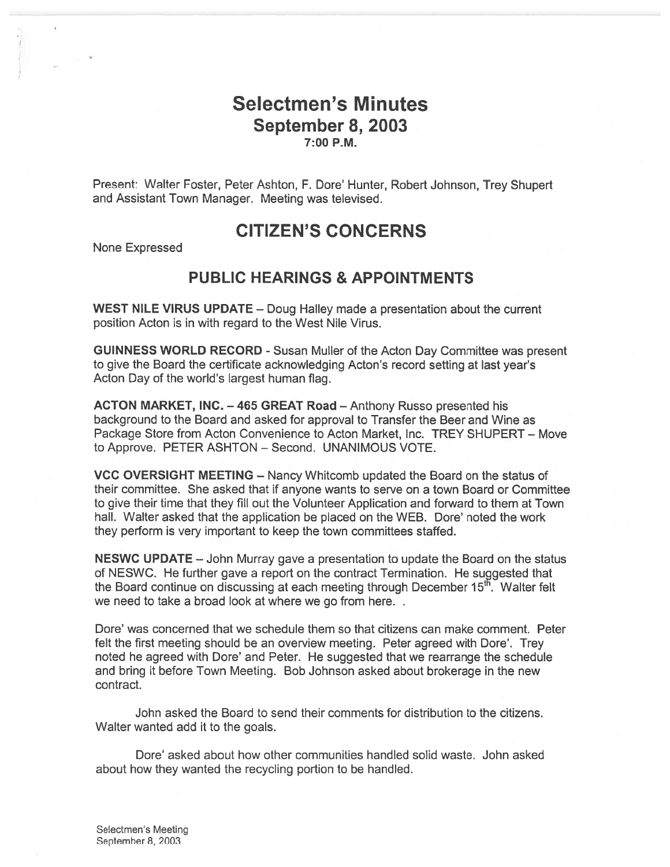## Selectmen's Minutes September 8, 2003 7:00 P.M.

Present: Walter Foster, Peter Ashton, F. Dore' Hunter, Robert Johnson, Trey Shupert and Assistant Town Manager. Meeting was televised.

## CITIZEN'S CONCERNS

None Expressed

#### PUBLIC HEARINGS & APPOINTMENTS

WEST NILE VIRUS UPDATE — Doug Halley made <sup>a</sup> presentation about the current position Acton is in with regard to the West Nile Virus.

GUINNESS WORLD RECORD - Susan Muller of the Acton Day Committee was presen<sup>t</sup> to give the Board the certificate acknowledging Acton's record setting at last year's Acton Day of the world's largest human flag.

ACTON MARKET, INC. — 465 GREAT Road — Anthony Russo presented his background to the Board and asked for approval to Transfer the Beer and Wine as Package Store from Acton Convenience to Acton Market, Inc. TREY SHUPERT — Move to Approve. PETER ASHTON — Second. UNANIMOUS VOTE.

VCC OVERSIGHT MEETING — Nancy Whitcomb updated the Board on the status of their committee. She asked that if anyone wants to serve on <sup>a</sup> town Board or Committee to give their time that they fill out the Volunteer Application and forward to them at Town hall. Walter asked that the application be placed on the WEB. Dore' noted the work they perform is very important to keep the town committees staffed.

NESWC UPDATE — John Murray gave <sup>a</sup> presentation to update the Board on the status of NESWC. He further gave <sup>a</sup> repor<sup>t</sup> on the contract Termination. He sugested that the Board continue on discussing at each meeting through December  $15<sup>th</sup>$ . Walter felt we need to take <sup>a</sup> broad look at where we go from here.

Dore' was concerned that we schedule them so that citizens can make comment. Peter felt the first meeting should be an overview meeting. Peter agreed with Dore'. Trey noted he agreed with Dore' and Peter. He suggested that we rearrange the schedule and bring it before Town Meeting. Bob Johnson asked about brokerage in the new contract.

John asked the Board to send their comments for distribution to the citizens. Walter wanted add it to the goals.

Dore' asked about how other communities handled solid waste. John asked about how they wanted the recycling portion to be handled.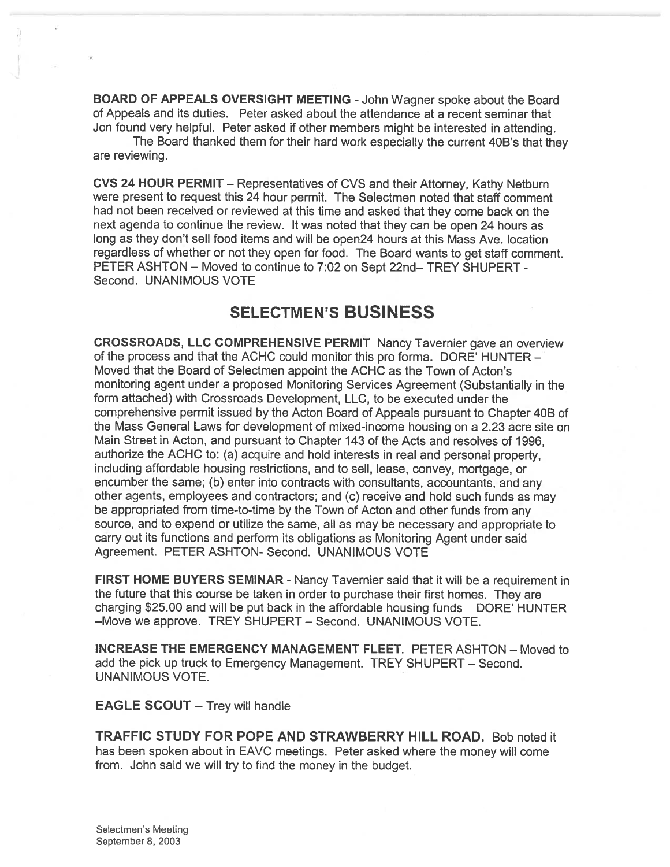BOARD OF APPEALS OVERSIGHT MEETING -John Wagner spoke about the Board of Appeals and its duties. Peter asked about the attendance at <sup>a</sup> recent seminar that Jon found very helpful. Peter asked if other members might be interested in attending.

The Board thanked them for their hard work especially the current 40B's that they are reviewing.

CVS <sup>24</sup> HOUR PERMIT — Representatives of CVS and their Attorney, Kathy Netburn were presen<sup>t</sup> to reques<sup>t</sup> this 24 hour permit. The Selectmen noted that staff comment had not been received or reviewed at this time and asked that they come back on the next agenda to continue the review. It was noted that they can be open <sup>24</sup> hours as long as they don't sell food items and will be open24 hours at this Mass Ave. location regardless of whether or not they open for food. The Board wants to ge<sup>t</sup> staff comment. PETER ASHTON — Moved to continue to 7:02 on Sept 22nd— TREY SHUPERT - Second. UNANIMOUS VOTE

## SELECTMEN'S BUSINESS

CROSSROADS, LLC COMPREHENSIVE PERMIT Nancy Tavernier gave an overview of the process and that the ACHC could monitor this pro forma. DORE' HUNTER — Moved that the Board of Selectmen appoint the ACHC as the Town of Acton's monitoring agen<sup>t</sup> under <sup>a</sup> proposed Monitoring Services Agreement (Substantially in the form attached) with Crossroads Development, LLC, to be executed under the comprehensive permit issued by the Acton Board of Appeals pursuan<sup>t</sup> to Chapter 40B of the Mass General Laws for development of mixed-income housing on <sup>a</sup> 2.23 acre site on Main Street in Acton, and pursuan<sup>t</sup> to Chapter 143 of the Acts and resolves of 1996, authorize the ACHC to: (a) acquire and hold interests in real and persona<sup>l</sup> property, including affordable housing restrictions, and to sell, lease, convey, mortgage, or encumber the same; (b) enter into contracts with consultants, accountants, and any other agents, employees and contractors; and (c) receive and hold such funds as may be appropriated from time-to-time by the Town of Acton and other funds from any source, and to expend or utilize the same, all as may be necessary and appropriate to carry out its functions and perform its obligations as Monitoring Agent under said Agreement. PETER ASHTON- Second. UNANIMOUS VOTE

FIRST HOME BUYERS SEMINAR - Nancy Tavernier said that it will be <sup>a</sup> requirement in the future that this course be taken in order to purchase their first homes. They are charging \$25.00 and will be put back in the affordable housing funds DORE' HUNTER —Move we approve. TREY SHUPERT — Second. UNANIMOUS VOTE.

INCREASE THE EMERGENCY MANAGEMENT FLEET. PETER ASHTDN — Moved to add the pick up truck to Emergency Management. TREY SHUPERT — Second. UNANIMOUS VOTE.

EAGLE SCOUT — Trey will handle

TRAFFIC STUDY FOR POPE AND STRAWBERRY HILL ROAD. Bob noted it has been spoken about in EAVC meetings. Peter asked where the money will come from. John said we will try to find the money in the budget.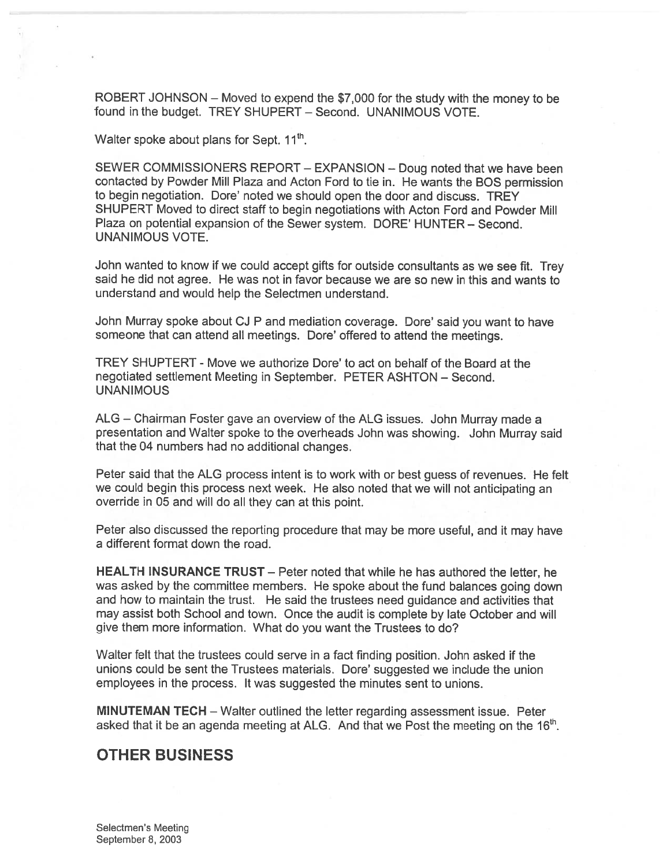ROBERT JOHNSON — Moved to expen<sup>d</sup> the \$7,000 for the study with the money to be found in the budget. TREY SHUPERT — Second. UNANIMOUS VOTE.

Walter spoke about plans for Sept.  $11<sup>th</sup>$ .

SEWER COMMISSIONERS REPORT — EXPANSION — Doug noted that we have been contacted by Powder Mill Plaza and Acton Ford to tie in. He wants the BOS permission to begin negotiation. Dore' noted we should open the door and discuss. TREY SHUPERT Moved to direct staff to begin negotiations with Acton Ford and Powder Mill Plaza on potential expansion of the Sewer system. DORE' HUNTER — Second. UNANIMOUS VOTE.

John wanted to know if we could accep<sup>t</sup> <sup>g</sup>ifts for outside consultants as we see fit. Trey said he did not agree. He was not in favor because we are so new in this and wants to understand and would help the Selectmen understand.

John Murray spoke about CJ <sup>P</sup> and mediation coverage. Dore' said you want to have someone that can attend all meetings. Dore' offered to attend the meetings.

TREY SHUPTERT - Move we authorize Dore' to act on behalf of the Board at the negotiated settlement Meeting in September. PETER ASHTON — Second. **UNANIMOUS** 

ALG — Chairman Foster gave an overview of the ALG issues. John Murray made <sup>a</sup> presentation and Walter spoke to the overheads John was showing. John Murray said that the 04 numbers had no additional changes.

Peter said that the ALG process intent is to work with or best guess of revenues. He felt we could begin this process next week. He also noted that we will not anticipating an override in 05 and will do all they can at this point.

Peter also discussed the reporting procedure that may be more useful, and it may have <sup>a</sup> different format down the road.

HEALTH INSURANCE TRUST — Peter noted that while he has authored the letter, he was asked by the committee members. He spoke about the fund balances going down and how to maintain the trust. He said the trustees need guidance and activities that may assist both School and town. Once the audit is complete by late October and will <sup>g</sup>ive them more information. What do you want the Trustees to do?

Walter felt that the trustees could serve in <sup>a</sup> fact finding position. John asked if the unions could be sent the Trustees materials. Dore' suggested we include the union employees in the process. It was suggested the minutes sent to unions.

MINUTEMAN TECH — Walter outlined the letter regarding assessment issue. Peter asked that it be an agenda meeting at ALG. And that we Post the meeting on the  $16<sup>th</sup>$ .

#### OTHER BUSINESS

Selectmen's Meeting September 8, 2003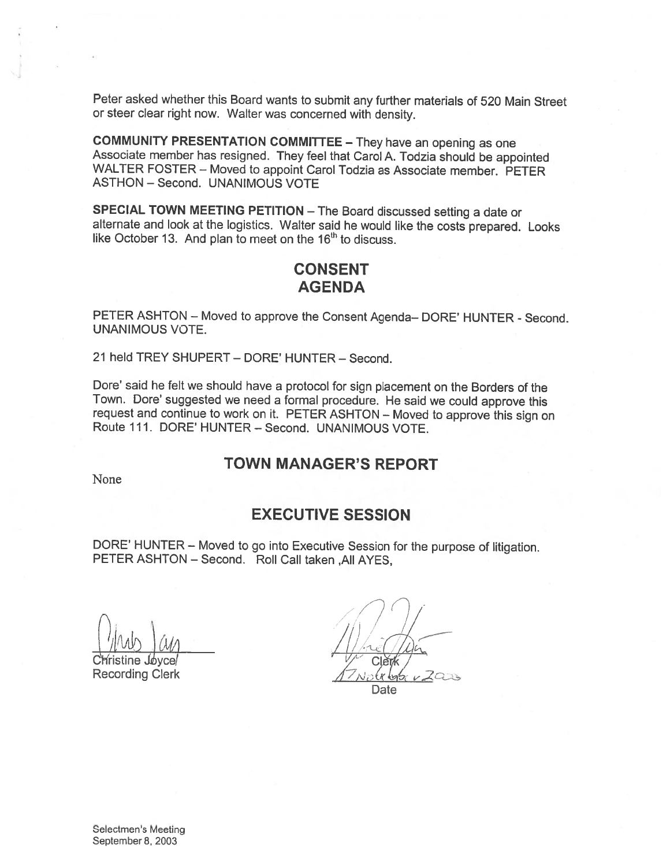Peter asked whether this Board wants to submit any further materials of <sup>520</sup> Main Street or steer clear right now. Walter was concerned with density.

**COMMUNITY PRESENTATION COMMITTEE – They have an opening as one**<br>Associate member has resigned. They feel that Carol A. Todzia should be appointed WALTER FOSTER – Moved to appoint Carol Todzia as Associate member. PETER ASTHON — Second. UNANIMOUS VOTE

SPECIAL TOWN MEETING PETITION — The Board discussed setting <sup>a</sup> date or alternate and look at the logistics. Walter said he would like the costs prepared. Looks like October 13. And plan to meet on the  $16<sup>th</sup>$  to discuss.

#### CONSENT AGENDA

PETER ASHTON — Moved to approve the Consent Agenda— DORE' HUNTER - Second. UNANIMOUS VOTE.

21 held TREY SHUPERT — DORE' HUNTER — Second.

Dore' said he felt we should have a protocol for sign placement on the Borders of the Town. Dore' suggested we need <sup>a</sup> formal procedure. He said we could approve this request and continue to work on it. PETER ASHTON — Moved to approve this sign on Route 111. DORE' HUNTER — Second. UNANIMOUS VOTE.

#### TOWN MANAGER'S REPORT

None

### EXECUTIVE SESSION

DORE' HUNTER — Moved to go into Executive Session for the purpose of litigation. PETER ASHTON - Second. Roll Call taken , All AYES,

 $\frac{1}{1}$  $\mu$ ws and  $\mu$ 

Recording Clerk

Christine Joyce/  $\sqrt{2}$  Clerk,

Date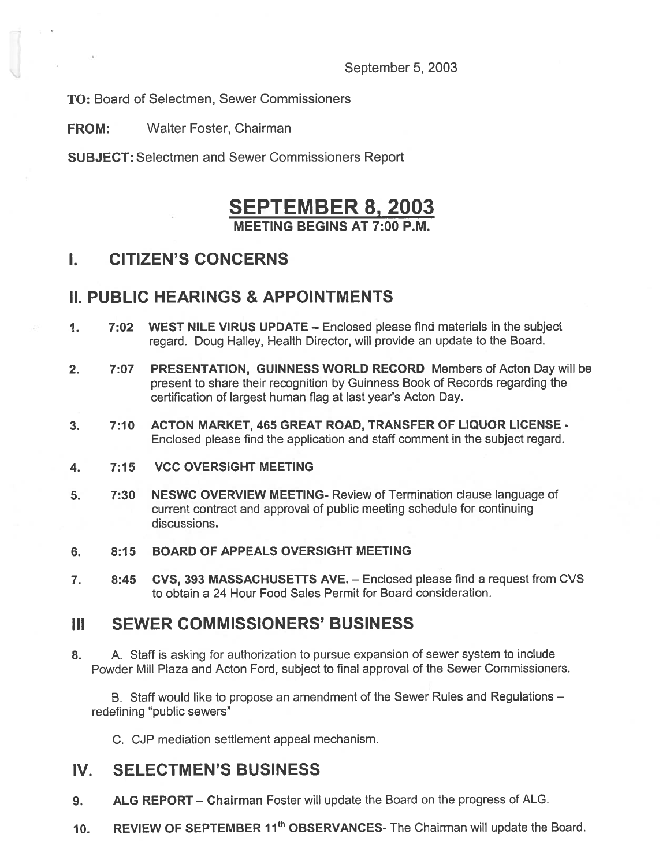September 5, 2003

TO: Board of Selectmen, Sewer Commissioners

FROM: Walter Foster, Chairman

SUBJECT: Selectmen and Sewer Commissioners Report

# SEPTEMBER 8, 2003

MEETING BEGINS AT 7:00 P.M.

# I. CITIZEN'S CONCERNS

## II. PUBLIC HEARINGS & APPOINTMENTS

- 1. 7:02 WEST NILE VIRUS UPDATE Enclosed please find materials in the subject regard. Doug Halley, Health Director, will provide an update to the Board.
- 2. 7:07 PRESENTATION, GUINNESS WORLD RECORD Members of Acton Day will be presen<sup>t</sup> to share their recognition by Guinness Book of Records regarding the certification of largest human flag at last year's Acton Day.
- 3. 7:10 ACTON MARKET, 465 GREAT ROAD, TRANSFER OF LIQUOR LICENSE Enclosed please find the application and staff comment in the subject regard.
- 4. 7:15 VCC OVERSIGHT MEETING
- 5. 7:30 NESWC OVERVIEW MEETING- Review of Termination clause language of current contract and approval of public meeting schedule for continuing discussions.
- 6. 8:15 BOARD OF APPEALS OVERSIGHT MEETING
- 7. 8:45 CVS, 393 MASSACHUSETTS AVE. Enclosed please find <sup>a</sup> reques<sup>t</sup> from CVS to obtain <sup>a</sup> 24 Hour Food Sales Permit for Board consideration.

## III SEWER COMMISSIONERS' BUSINESS

8. A. Staff is asking for authorization to pursue expansion of sewer system to include Powder Mill Plaza and Acton Ford, subject to final approval of the Sewer Commissioners.

B. Staff would like to propose an amendment of the Sewer Rules and Regulations redefining "public sewers"

C. CJP mediation settlement appeal mechanism.

## IV. SELECTMEN'S BUSINESS

- 9. ALG REPORT Chairman Foster will update the Board on the progress of ALG.
- 10. REVIEW OF SEPTEMBER 11<sup>th</sup> OBSERVANCES- The Chairman will update the Board.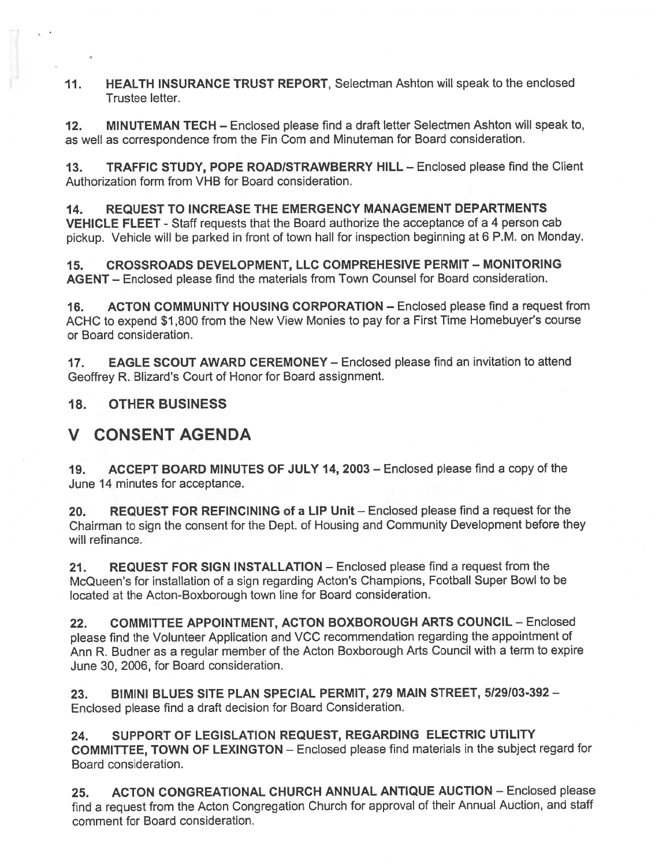11. HEALTH INSURANCE TRUST REPORT, Selectman Ashton will speak to the enclosed Trustee letter.

12. MINUTEMAN TECH — Enclosed please find <sup>a</sup> draft letter Selectmen Ashton will speak to, as well as correspondence from the Fin Com and Minuteman for Board consideration.

13. TRAFFIC STUDY, POPE ROAD/STRAWBERRY HILL — Enclosed please find the Client Authorization form from VHB for Board consideration.

14. REQUEST TO INCREASE THE EMERGENCY MANAGEMENT DEPARTMENTS VEHICLE FLEET - Staff requests that the Board authorize the acceptance of <sup>a</sup> <sup>4</sup> person cab <sup>p</sup>ickup. Vehicle will be parked in front of town hall for inspection beginning at <sup>6</sup> P.M. on Monday.

15. CROSSROADS DEVELOPMENT, LLC COMPREHESIVE PERMIT — MONITORING AGENT — Enclosed <sup>p</sup>lease find the materials from Town Counsel for Board consideration.

16. ACTON COMMUNITY HOUSING CORPORATION — Enclosed please find <sup>a</sup> reques<sup>t</sup> from ACHC to expend \$1 ,800 from the New View Monies to pay for <sup>a</sup> First Time Homebuyer's course or Board consideration.

17. EAGLE SCOUT AWARD CEREMONEY — Enclosed please find an invitation to attend Geoffrey R. Blizard's Court of Honor for Board assignment.

18. OTHER BUSINESS

1'•

# V CONSENT AGENDA

19. ACCEPT BOARD MINUTES OF JULY 14, 2003 — Enclosed please find <sup>a</sup> copy of the June 14 minutes for acceptance.

20. REQUEST FOR REFINCINING of <sup>a</sup> LIP Unit — Enclosed <sup>p</sup>lease find <sup>a</sup> reques<sup>t</sup> for the Chairman to sign the consent for the Dept. of Housing and Community Development before they will refinance.

21. REQUEST FOR SIGN INSTALLATION — Enclosed <sup>p</sup>lease find <sup>a</sup> reques<sup>t</sup> from the McQueen's for installation of <sup>a</sup> sign regarding Acton's Champions, Football Super Bowl to be located at the Acton-Boxborough town line for Board consideration.

22. COMMITTEE APPOINTMENT, ACTON BOXBOROUGH ARTS COUNCIL — Enclosed <sup>p</sup>lease find the Volunteer Application and VCC recommendation regarding the appointment of Ann R. Budner as <sup>a</sup> regular member of the Acton Boxborough Arts Council with <sup>a</sup> term to expire June 30, 2006, for Board consideration.

23. BIMINI BLUES SITE PLAN SPECIAL PERMIT, 279 MAIN STREET, 5/29103-392 — Enclosed please find <sup>a</sup> draft decision for Board Consideration.

24. SUPPORT OF LEGISLATION REQUEST, REGARDING ELECTRIC UTILITY COMMITTEE, TOWN OF LEXINGTON — Enclosed <sup>p</sup>lease find materials in the subject regar<sup>d</sup> for Board consideration.

25. ACTON CONGREATIONAL CHURCH ANNUAL ANTIQUE AUCTION - Enclosed please find <sup>a</sup> reques<sup>t</sup> from the Acton Congregation Church for approva<sup>l</sup> of their Annual Auction, and staff comment for Board consideration.